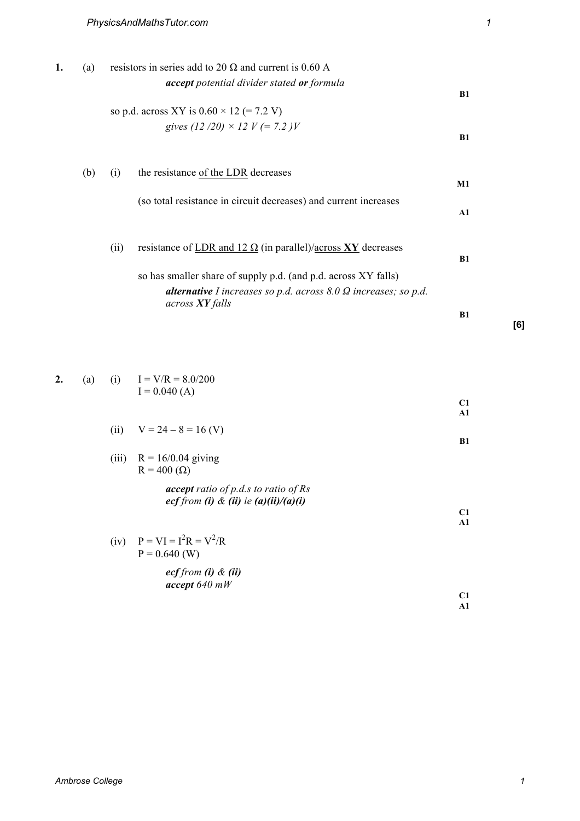**2.** (a) (i)  $I = V/R = 8.0/200$ 

| 1. | (a) |      | resistors in series add to 20 $\Omega$ and current is 0.60 A                                            |               |
|----|-----|------|---------------------------------------------------------------------------------------------------------|---------------|
|    |     |      | <b>accept</b> potential divider stated <b>or</b> formula                                                | B1            |
|    |     |      | so p.d. across XY is $0.60 \times 12 (= 7.2 V)$                                                         |               |
|    |     |      | gives $(12/20) \times 12 V (= 7.2) V$                                                                   | B1            |
|    | (b) | (i)  | the resistance of the LDR decreases                                                                     | M1            |
|    |     |      | (so total resistance in circuit decreases) and current increases                                        | $\mathbf{A1}$ |
|    |     | (ii) | resistance of LDR and 12 $\Omega$ (in parallel)/across XY decreases                                     | <b>B1</b>     |
|    |     |      | so has smaller share of supply p.d. (and p.d. across XY falls)                                          |               |
|    |     |      | <b>alternative</b> I increases so p.d. across $8.0 \Omega$ increases; so p.d.<br>across <b>XY</b> falls |               |
|    |     |      |                                                                                                         | B1            |

I = 0.040 (A)  
\n(ii) 
$$
V = 24 - 8 = 16
$$
 (V)  
\n(iii)  $R = 16/0.04$  giving  
\n $R = 400$  (Ω)  
\naccept ratio of p.d.s to ratio of Rs  
\necf from (i) & (ii) ie (a)(ii)/(a)(i)  
\n(iv)  $P = VI = I^2R = V^2/R$   
\n $P = 0.640$  (W)  
\necf from (i) & (ii)  
\naccept 640 mW

**[6]**

**C1 A1**

**B1**

**C1 A1**

**C1 A1**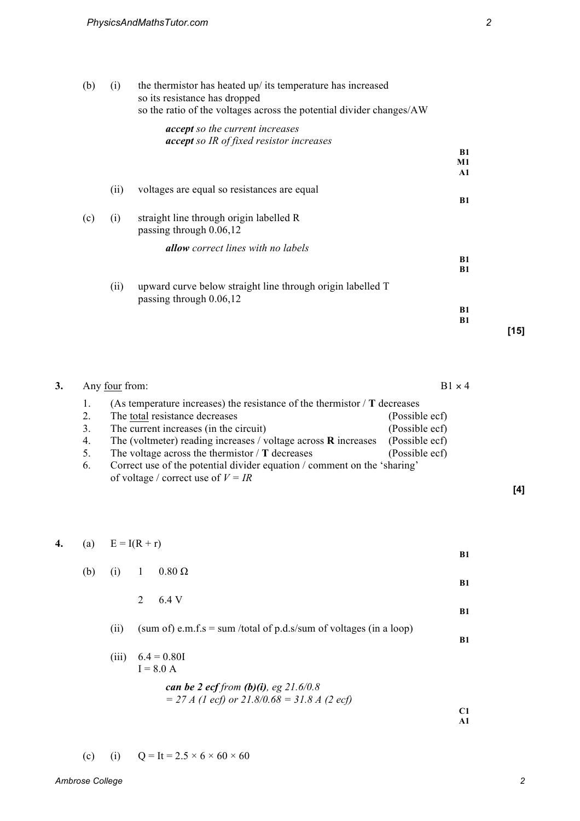| (b) | (i)  | the thermistor has heated up/ its temperature has increased<br>so its resistance has dropped<br>so the ratio of the voltages across the potential divider changes/AW |               |      |
|-----|------|----------------------------------------------------------------------------------------------------------------------------------------------------------------------|---------------|------|
|     |      | <b>accept</b> so the current increases<br><b>accept</b> so IR of fixed resistor increases                                                                            |               |      |
|     |      |                                                                                                                                                                      | <b>B1</b>     |      |
|     |      |                                                                                                                                                                      | M1            |      |
|     |      |                                                                                                                                                                      | $\mathbf{A1}$ |      |
|     | (ii) | voltages are equal so resistances are equal                                                                                                                          |               |      |
|     |      |                                                                                                                                                                      | <b>B1</b>     |      |
| (c) | (i)  | straight line through origin labelled R<br>passing through 0.06,12                                                                                                   |               |      |
|     |      | <b>allow</b> correct lines with no labels                                                                                                                            |               |      |
|     |      |                                                                                                                                                                      | <b>B1</b>     |      |
|     |      |                                                                                                                                                                      | B1            |      |
|     | (ii) | upward curve below straight line through origin labelled T<br>passing through $0.06,12$                                                                              |               |      |
|     |      |                                                                                                                                                                      | <b>B1</b>     |      |
|     |      |                                                                                                                                                                      | <b>B1</b>     |      |
|     |      |                                                                                                                                                                      |               | [15] |

| Any four from: | $B1 \times 4$                                                                                                    |                |
|----------------|------------------------------------------------------------------------------------------------------------------|----------------|
|                | (As temperature increases) the resistance of the thermistor $\Gamma$ decreases                                   |                |
| 2.             | The total resistance decreases                                                                                   | (Possible ecf) |
| 3.             | The current increases (in the circuit)                                                                           | (Possible ecf) |
| 4.             | The (voltmeter) reading increases / voltage across $\bf{R}$ increases                                            | (Possible ecf) |
| 5.             | The voltage across the thermistor $\Gamma$ decreases                                                             | (Possible ecf) |
| 6.             | Correct use of the potential divider equation / comment on the 'sharing'<br>of voltage / correct use of $V = IR$ |                |

| 4. | (a) |       | $E = I(R + r)$                                                                          | <b>B1</b> |
|----|-----|-------|-----------------------------------------------------------------------------------------|-----------|
|    | (b) | (i)   | $0.80 \Omega$<br>$\mathbf{1}$                                                           |           |
|    |     |       | 2<br>6.4 V                                                                              | <b>B1</b> |
|    |     |       |                                                                                         | <b>B1</b> |
|    |     | (i)   | (sum of) e.m.f.s = sum /total of p.d.s/sum of voltages (in a loop)                      | <b>B1</b> |
|    |     | (iii) | $6.4 = 0.80I$<br>$I = 8.0 A$                                                            |           |
|    |     |       | can be 2 ecf from (b)(i), eg 21.6/0.8<br>$=$ 27 A (1 ecf) or 21.8/0.68 = 31.8 A (2 ecf) |           |
|    |     |       |                                                                                         | C1        |
|    |     |       |                                                                                         | A1        |

**[4]**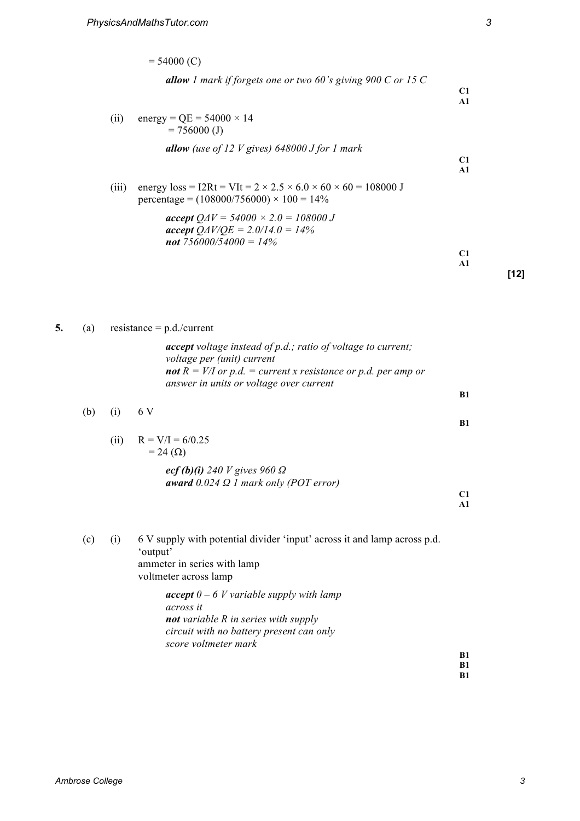|       | $= 54000 (C)$                                                                                                                                   |                     |     |
|-------|-------------------------------------------------------------------------------------------------------------------------------------------------|---------------------|-----|
|       | <b>allow</b> 1 mark if forgets one or two 60's giving 900 C or 15 C                                                                             | C1<br>$\mathbf{A1}$ |     |
| (ii)  | energy = QE = $54000 \times 14$<br>$= 756000$ (J)                                                                                               |                     |     |
|       | <b>allow</b> (use of 12 V gives) 648000 J for 1 mark                                                                                            | C1<br>$\mathbf{A1}$ |     |
| (111) | energy $loss = I2Rt = VIt = 2 \times 2.5 \times 6.0 \times 60 \times 60 = 108000 \text{ J}$<br>percentage = $(108000/756000) \times 100 = 14\%$ |                     |     |
|       | $accept$ Q $\Delta V = 54000 \times 2.0 = 108000$ J<br>$accept$ Q $\Delta V/\angle$ C $=$ 2.0/14.0 = 14%<br>not $756000/54000 = 14\%$           | C1<br>$\mathbf{A1}$ |     |
|       |                                                                                                                                                 |                     | 121 |

5. (a) resistance  $=$  p.d./current

*accept voltage instead of p.d.; ratio of voltage to current; voltage per (unit) current not*  $R = V/I$  or p.d. = current x resistance or p.d. per amp or *answer in units or voltage over current*

(b) (i) 6 V

(ii)  $R = V/I = 6/0.25$  $= 24 \, (\Omega)$ 

> *ecf (b)(i) 240 V gives 960 Ω award 0.024 Ω 1 mark only (POT error)*

**C1 A1**

**B1**

**B1**

(c) (i) 6 V supply with potential divider 'input' across it and lamp across p.d. 'output' ammeter in series with lamp voltmeter across lamp

> *accept 0 – 6 V variable supply with lamp across it not variable R in series with supply circuit with no battery present can only score voltmeter mark*

**B1 B1**

**B1**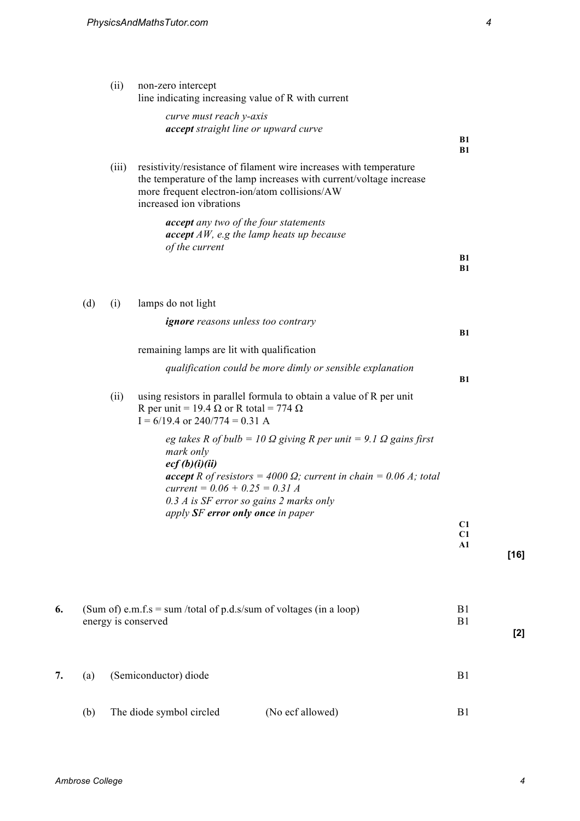|    |     | (ii)  | non-zero intercept<br>line indicating increasing value of R with current                                                                                                                                                                                                        |                  |        |
|----|-----|-------|---------------------------------------------------------------------------------------------------------------------------------------------------------------------------------------------------------------------------------------------------------------------------------|------------------|--------|
|    |     |       | curve must reach y-axis<br>accept straight line or upward curve                                                                                                                                                                                                                 | B1<br>B1         |        |
|    |     | (iii) | resistivity/resistance of filament wire increases with temperature<br>the temperature of the lamp increases with current/voltage increase<br>more frequent electron-ion/atom collisions/AW<br>increased ion vibrations                                                          |                  |        |
|    |     |       | accept any two of the four statements<br>$accept$ AW, e.g the lamp heats up because<br>of the current                                                                                                                                                                           |                  |        |
|    |     |       |                                                                                                                                                                                                                                                                                 | B1<br>B1         |        |
|    | (d) | (i)   | lamps do not light                                                                                                                                                                                                                                                              |                  |        |
|    |     |       | <b>ignore</b> reasons unless too contrary                                                                                                                                                                                                                                       | B1               |        |
|    |     |       | remaining lamps are lit with qualification                                                                                                                                                                                                                                      |                  |        |
|    |     |       | qualification could be more dimly or sensible explanation                                                                                                                                                                                                                       | B1               |        |
|    |     | (ii)  | using resistors in parallel formula to obtain a value of R per unit<br>R per unit = 19.4 $\Omega$ or R total = 774 $\Omega$<br>$I = 6/19.4$ or $240/774 = 0.31$ A                                                                                                               |                  |        |
|    |     |       | eg takes R of bulb = 10 $\Omega$ giving R per unit = 9.1 $\Omega$ gains first<br>mark only<br>ecf(b)(i)(ii)<br><b>accept</b> R of resistors = 4000 $\Omega$ ; current in chain = 0.06 A; total<br>current = $0.06 + 0.25 = 0.31 A$<br>$0.3 A$ is SF error so gains 2 marks only |                  |        |
|    |     |       | apply SF error only once in paper                                                                                                                                                                                                                                               | C1               |        |
|    |     |       |                                                                                                                                                                                                                                                                                 | C1<br>${\bf A1}$ | $[16]$ |
|    |     |       |                                                                                                                                                                                                                                                                                 |                  |        |
| 6. |     |       | (Sum of) e.m.f.s = sum /total of p.d.s/sum of voltages (in a loop)<br>energy is conserved                                                                                                                                                                                       | B1<br>B1         | $[2]$  |
| 7. | (a) |       | (Semiconductor) diode                                                                                                                                                                                                                                                           | B <sub>1</sub>   |        |
|    | (b) |       | The diode symbol circled<br>(No ecf allowed)                                                                                                                                                                                                                                    | B1               |        |